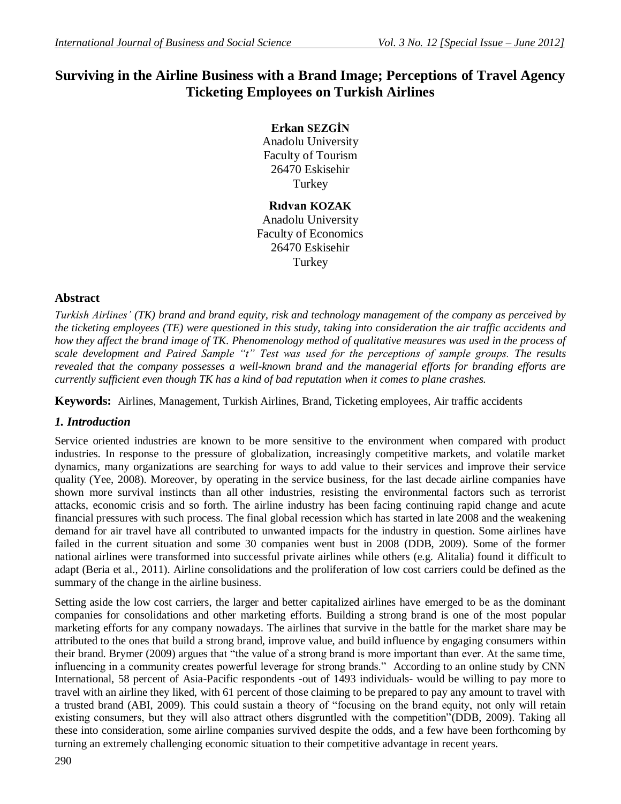# **Surviving in the Airline Business with a Brand Image; Perceptions of Travel Agency Ticketing Employees on Turkish Airlines**

**Erkan SEZGİN** Anadolu University Faculty of Tourism 26470 Eskisehir Turkey

**Rıdvan KOZAK** Anadolu University Faculty of Economics 26470 Eskisehir Turkey

# **Abstract**

*Turkish Airlines" (TK) brand and brand equity, risk and technology management of the company as perceived by the ticketing employees (TE) were questioned in this study, taking into consideration the air traffic accidents and how they affect the brand image of TK. Phenomenology method of qualitative measures was used in the process of scale development and Paired Sample "t" Test was used for the perceptions of sample groups. The results revealed that the company possesses a well-known brand and the managerial efforts for branding efforts are currently sufficient even though TK has a kind of bad reputation when it comes to plane crashes.* 

**Keywords:** Airlines, Management, Turkish Airlines, Brand, Ticketing employees, Air traffic accidents

# *1. Introduction*

Service oriented industries are known to be more sensitive to the environment when compared with product industries. In response to the pressure of globalization, increasingly competitive markets, and volatile market dynamics, many organizations are searching for ways to add value to their services and improve their service quality (Yee, 2008). Moreover, by operating in the service business, for the last decade airline companies have shown more survival instincts than all other industries, resisting the environmental factors such as terrorist attacks, economic crisis and so forth. The airline industry has been facing continuing rapid change and acute financial pressures with such process. The final global recession which has started in late 2008 and the weakening demand for air travel have all contributed to unwanted impacts for the industry in question. Some airlines have failed in the current situation and some 30 companies went bust in 2008 (DDB, 2009). Some of the former national airlines were transformed into successful private airlines while others (e.g. Alitalia) found it difficult to adapt (Beria et al., 2011). Airline consolidations and the proliferation of low cost carriers could be defined as the summary of the change in the airline business.

Setting aside the low cost carriers, the larger and better capitalized airlines have emerged to be as the dominant companies for consolidations and other marketing efforts. Building a strong brand is one of the most popular marketing efforts for any company nowadays. The airlines that survive in the battle for the market share may be attributed to the ones that build a strong brand, improve value, and build influence by engaging consumers within their brand. Brymer (2009) argues that "the value of a strong brand is more important than ever. At the same time, influencing in a community creates powerful leverage for strong brands." According to an online study by CNN International, 58 percent of Asia-Pacific respondents -out of 1493 individuals- would be willing to pay more to travel with an airline they liked, with 61 percent of those claiming to be prepared to pay any amount to travel with a trusted brand (ABI, 2009). This could sustain a theory of "focusing on the brand equity, not only will retain existing consumers, but they will also attract others disgruntled with the competition"(DDB, 2009). Taking all these into consideration, some airline companies survived despite the odds, and a few have been forthcoming by turning an extremely challenging economic situation to their competitive advantage in recent years.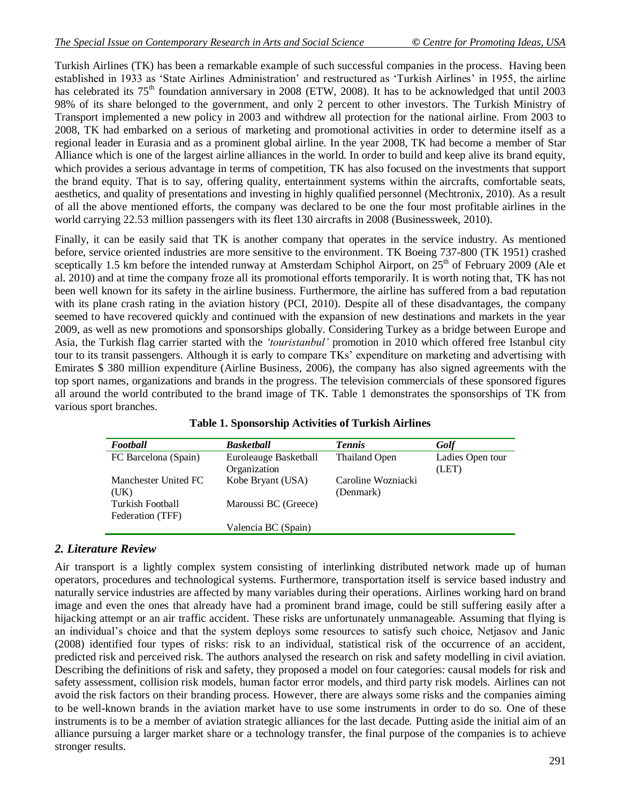Turkish Airlines (TK) has been a remarkable example of such successful companies in the process. Having been established in 1933 as 'State Airlines Administration' and restructured as 'Turkish Airlines' in 1955, the airline has celebrated its 75<sup>th</sup> foundation anniversary in 2008 (ETW, 2008). It has to be acknowledged that until 2003 98% of its share belonged to the government, and only 2 percent to other investors. The Turkish Ministry of Transport implemented a new policy in 2003 and withdrew all protection for the national airline. From 2003 to 2008, TK had embarked on a serious of marketing and promotional activities in order to determine itself as a regional leader in Eurasia and as a prominent global airline. In the year 2008, TK had become a member of Star Alliance which is one of the largest airline alliances in the world. In order to build and keep alive its brand equity, which provides a serious advantage in terms of competition, TK has also focused on the investments that support the brand equity. That is to say, offering quality, entertainment systems within the aircrafts, comfortable seats, aesthetics, and quality of presentations and investing in highly qualified personnel (Mechtronix, 2010). As a result of all the above mentioned efforts, the company was declared to be one the four most profitable airlines in the world carrying 22.53 million passengers with its fleet 130 aircrafts in 2008 (Businessweek, 2010).

Finally, it can be easily said that TK is another company that operates in the service industry. As mentioned before, service oriented industries are more sensitive to the environment. TK Boeing 737-800 (TK 1951) crashed sceptically 1.5 km before the intended runway at Amsterdam Schiphol Airport, on  $25<sup>th</sup>$  of February 2009 (Ale et al. 2010) and at time the company froze all its promotional efforts temporarily. It is worth noting that, TK has not been well known for its safety in the airline business. Furthermore, the airline has suffered from a bad reputation with its plane crash rating in the aviation history (PCI, 2010). Despite all of these disadvantages, the company seemed to have recovered quickly and continued with the expansion of new destinations and markets in the year 2009, as well as new promotions and sponsorships globally. Considering Turkey as a bridge between Europe and Asia, the Turkish flag carrier started with the *"touristanbul"* promotion in 2010 which offered free Istanbul city tour to its transit passengers. Although it is early to compare TKs' expenditure on marketing and advertising with Emirates \$ 380 million expenditure (Airline Business, 2006), the company has also signed agreements with the top sport names, organizations and brands in the progress. The television commercials of these sponsored figures all around the world contributed to the brand image of TK. Table 1 demonstrates the sponsorships of TK from various sport branches.

| Football                | <b>Basketball</b>     | <b>Tennis</b>        | Golf             |
|-------------------------|-----------------------|----------------------|------------------|
| FC Barcelona (Spain)    | Euroleauge Basketball | <b>Thailand Open</b> | Ladies Open tour |
|                         | Organization          |                      | (LET)            |
| Manchester United FC    | Kobe Bryant (USA)     | Caroline Wozniacki   |                  |
| (UK)                    |                       | (Denmark)            |                  |
| <b>Turkish Football</b> | Maroussi BC (Greece)  |                      |                  |
| Federation (TFF)        |                       |                      |                  |
|                         | Valencia BC (Spain)   |                      |                  |

**Table 1. Sponsorship Activities of Turkish Airlines**

# *2. Literature Review*

Air transport is a lightly complex system consisting of interlinking distributed network made up of human operators, procedures and technological systems. Furthermore, transportation itself is service based industry and naturally service industries are affected by many variables during their operations. Airlines working hard on brand image and even the ones that already have had a prominent brand image, could be still suffering easily after a hijacking attempt or an air traffic accident. These risks are unfortunately unmanageable. Assuming that flying is an individual's choice and that the system deploys some resources to satisfy such choice, Netjasov and Janic (2008) identified four types of risks: risk to an individual, statistical risk of the occurrence of an accident, predicted risk and perceived risk. The authors analysed the research on risk and safety modelling in civil aviation. Describing the definitions of risk and safety, they proposed a model on four categories: causal models for risk and safety assessment, collision risk models, human factor error models, and third party risk models. Airlines can not avoid the risk factors on their branding process. However, there are always some risks and the companies aiming to be well-known brands in the aviation market have to use some instruments in order to do so. One of these instruments is to be a member of aviation strategic alliances for the last decade. Putting aside the initial aim of an alliance pursuing a larger market share or a technology transfer, the final purpose of the companies is to achieve stronger results.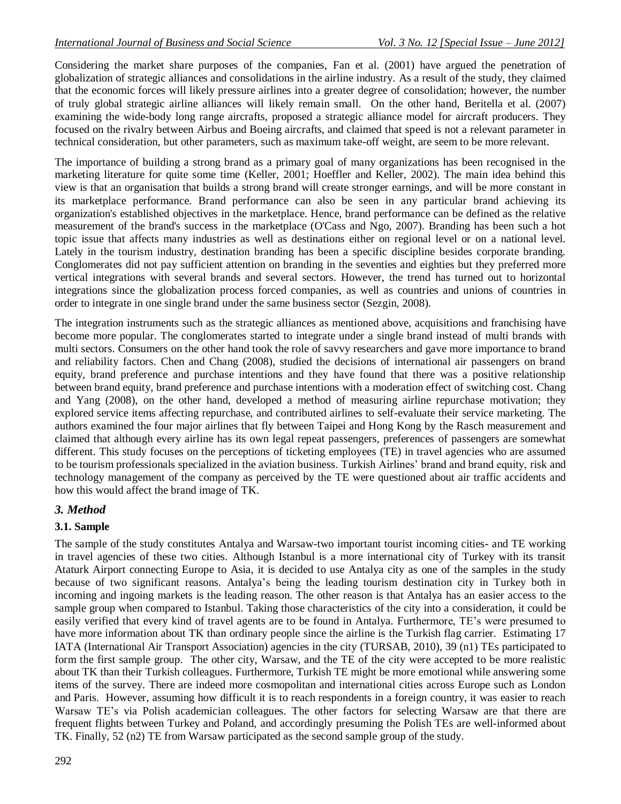Considering the market share purposes of the companies, Fan et al. (2001) have argued the penetration of globalization of strategic alliances and consolidations in the airline industry. As a result of the study, they claimed that the economic forces will likely pressure airlines into a greater degree of consolidation; however, the number of truly global strategic airline alliances will likely remain small. On the other hand, Beritella et al. (2007) examining the wide-body long range aircrafts, proposed a strategic alliance model for aircraft producers. They focused on the rivalry between Airbus and Boeing aircrafts, and claimed that speed is not a relevant parameter in technical consideration, but other parameters, such as maximum take-off weight, are seem to be more relevant.

The importance of building a strong brand as a primary goal of many organizations has been recognised in the marketing literature for quite some time [\(Keller,](http://www.sciencedirect.com/science?_ob=ArticleURL&_udi=B6V69-4WFGRTN-1&_user=736614&_coverDate=05%2F31%2F2010&_rdoc=1&_fmt=high&_orig=gateway&_origin=gateway&_sort=d&_docanchor=&view=c&_acct=C000040859&_version=1&_urlVersion=0&_userid=736614&md5=3810e263e4c2af02ec10f0b1e5a5d450&searchtype=a#bib43) 2001; [Hoeffler](http://www.sciencedirect.com/science?_ob=ArticleURL&_udi=B6V69-4WFGRTN-1&_user=736614&_coverDate=05%2F31%2F2010&_rdoc=1&_fmt=high&_orig=gateway&_origin=gateway&_sort=d&_docanchor=&view=c&_acct=C000040859&_version=1&_urlVersion=0&_userid=736614&md5=3810e263e4c2af02ec10f0b1e5a5d450&searchtype=a#bib33) and Keller, 2002). The main idea behind this view is that an organisation that builds a strong brand will create stronger earnings, and will be more constant in its marketplace performance. Brand performance can also be seen in any particular brand achieving its organization's established objectives in the marketplace. Hence, brand performance can be defined as the relative measurement of the brand's success in the marketplace [\(O'Cass](http://www.sciencedirect.com/science?_ob=ArticleURL&_udi=B6V69-4WFGRTN-1&_user=736614&_coverDate=05%2F31%2F2010&_rdoc=1&_fmt=high&_orig=gateway&_origin=gateway&_sort=d&_docanchor=&view=c&_acct=C000040859&_version=1&_urlVersion=0&_userid=736614&md5=3810e263e4c2af02ec10f0b1e5a5d450&searchtype=a#bib62) and Ngo, 2007). Branding has been such a hot topic issue that affects many industries as well as destinations either on regional level or on a national level. Lately in the tourism industry, destination branding has been a specific discipline besides corporate branding. Conglomerates did not pay sufficient attention on branding in the seventies and eighties but they preferred more vertical integrations with several brands and several sectors. However, the trend has turned out to horizontal integrations since the globalization process forced companies, as well as countries and unions of countries in order to integrate in one single brand under the same business sector (Sezgin, 2008).

The integration instruments such as the strategic alliances as mentioned above, acquisitions and franchising have become more popular. The conglomerates started to integrate under a single brand instead of multi brands with multi sectors. Consumers on the other hand took the role of savvy researchers and gave more importance to brand and reliability factors. Chen and Chang (2008), studied the decisions of international air passengers on brand equity, brand preference and purchase intentions and they have found that there was a positive relationship between brand equity, brand preference and purchase intentions with a moderation effect of switching cost. Chang and Yang (2008), on the other hand, developed a method of measuring airline repurchase motivation; they explored service items affecting repurchase, and contributed airlines to self-evaluate their service marketing. The authors examined the four major airlines that fly between Taipei and Hong Kong by the Rasch measurement and claimed that although every airline has its own legal repeat passengers, preferences of passengers are somewhat different. This study focuses on the perceptions of ticketing employees (TE) in travel agencies who are assumed to be tourism professionals specialized in the aviation business. Turkish Airlines' brand and brand equity, risk and technology management of the company as perceived by the TE were questioned about air traffic accidents and how this would affect the brand image of TK.

#### *3. Method*

#### **3.1. Sample**

The sample of the study constitutes Antalya and Warsaw-two important tourist incoming cities- and TE working in travel agencies of these two cities. Although Istanbul is a more international city of Turkey with its transit Ataturk Airport connecting Europe to Asia, it is decided to use Antalya city as one of the samples in the study because of two significant reasons. Antalya's being the leading tourism destination city in Turkey both in incoming and ingoing markets is the leading reason. The other reason is that Antalya has an easier access to the sample group when compared to Istanbul. Taking those characteristics of the city into a consideration, it could be easily verified that every kind of travel agents are to be found in Antalya. Furthermore, TE's were presumed to have more information about TK than ordinary people since the airline is the Turkish flag carrier. Estimating 17 IATA (International Air Transport Association) agencies in the city (TURSAB, 2010), 39 (n1) TEs participated to form the first sample group. The other city, Warsaw, and the TE of the city were accepted to be more realistic about TK than their Turkish colleagues. Furthermore, Turkish TE might be more emotional while answering some items of the survey. There are indeed more cosmopolitan and international cities across Europe such as London and Paris. However, assuming how difficult it is to reach respondents in a foreign country, it was easier to reach Warsaw TE's via Polish academician colleagues. The other factors for selecting Warsaw are that there are frequent flights between Turkey and Poland, and accordingly presuming the Polish TEs are well-informed about TK. Finally, 52 (n2) TE from Warsaw participated as the second sample group of the study.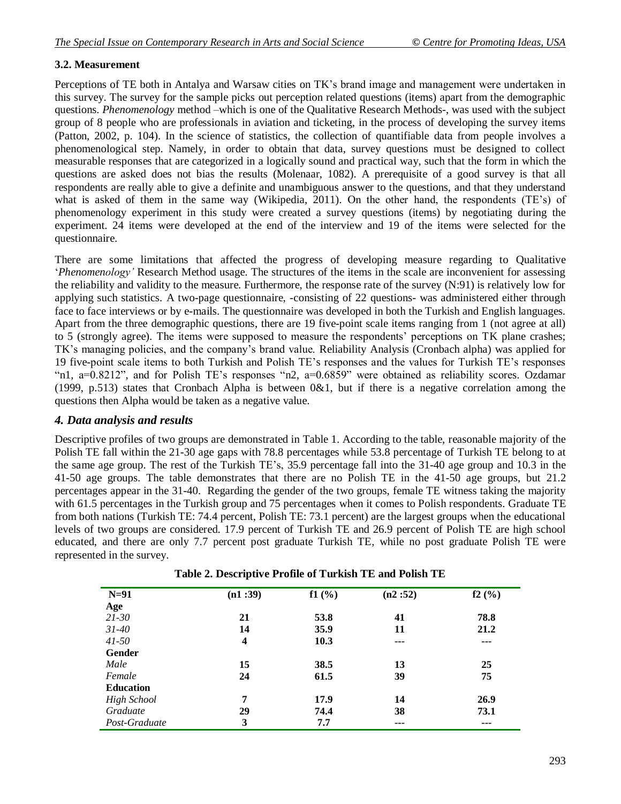## **3.2. Measurement**

Perceptions of TE both in Antalya and Warsaw cities on TK's brand image and management were undertaken in this survey. The survey for the sample picks out perception related questions (items) apart from the demographic questions. *Phenomenology* method –which is one of the Qualitative Research Methods-, was used with the subject group of 8 people who are professionals in aviation and ticketing, in the process of developing the survey items (Patton, 2002, p. 104). In the science of [statistics,](http://en.wikipedia.org/wiki/Statistics) the collection of quantifiable data from people involves a phenomenological step. Namely, in order to obtain that data, survey questions must be designed to collect measurable responses that are categorized in a logically sound and practical way, such that the form in which the questions are asked does not [bias](http://en.wikipedia.org/wiki/Bias) the results (Molenaar, 1082). A prerequisite of a good survey is that all respondents are really able to give a definite and unambiguous answer to the questions, and that they understand what is asked of them in the same way (Wikipedia, 2011). On the other hand, the respondents (TE's) of phenomenology experiment in this study were created a survey questions (items) by negotiating during the experiment. 24 items were developed at the end of the interview and 19 of the items were selected for the questionnaire.

There are some limitations that affected the progress of developing measure regarding to Qualitative ‗*Phenomenology"* Research Method usage. The structures of the items in the scale are inconvenient for assessing the reliability and validity to the measure. Furthermore, the response rate of the survey (N:91) is relatively low for applying such statistics. A two-page questionnaire, -consisting of 22 questions- was administered either through face to face interviews or by e-mails. The questionnaire was developed in both the Turkish and English languages. Apart from the three demographic questions, there are 19 five-point scale items ranging from 1 (not agree at all) to 5 (strongly agree). The items were supposed to measure the respondents' perceptions on TK plane crashes; TK's managing policies, and the company's brand value. Reliability Analysis (Cronbach alpha) was applied for 19 five-point scale items to both Turkish and Polish TE's responses and the values for Turkish TE's responses "n1,  $a=0.8212$ ", and for Polish TE's responses "n2,  $a=0.6859$ " were obtained as reliability scores. Ozdamar (1999, p.513) states that Cronbach Alpha is between  $0&1$ , but if there is a negative correlation among the questions then Alpha would be taken as a negative value.

#### *4. Data analysis and results*

Descriptive profiles of two groups are demonstrated in Table 1. According to the table, reasonable majority of the Polish TE fall within the 21-30 age gaps with 78.8 percentages while 53.8 percentage of Turkish TE belong to at the same age group. The rest of the Turkish TE's, 35.9 percentage fall into the 31-40 age group and 10.3 in the 41-50 age groups. The table demonstrates that there are no Polish TE in the 41-50 age groups, but 21.2 percentages appear in the 31-40. Regarding the gender of the two groups, female TE witness taking the majority with 61.5 percentages in the Turkish group and 75 percentages when it comes to Polish respondents. Graduate TE from both nations (Turkish TE: 74.4 percent, Polish TE: 73.1 percent) are the largest groups when the educational levels of two groups are considered. 17.9 percent of Turkish TE and 26.9 percent of Polish TE are high school educated, and there are only 7.7 percent post graduate Turkish TE, while no post graduate Polish TE were represented in the survey.

| $N=91$             | (n1:39)                 | f1(%) | (n2:52) | f2(%) |
|--------------------|-------------------------|-------|---------|-------|
| Age                |                         |       |         |       |
| 21-30              | 21                      | 53.8  | 41      | 78.8  |
| $31 - 40$          | 14                      | 35.9  | 11      | 21.2  |
| $41 - 50$          | $\overline{\mathbf{4}}$ | 10.3  | $--$    | ---   |
| Gender             |                         |       |         |       |
| Male               | 15                      | 38.5  | 13      | 25    |
| Female             | 24                      | 61.5  | 39      | 75    |
| <b>Education</b>   |                         |       |         |       |
| <b>High School</b> | 7                       | 17.9  | 14      | 26.9  |
| Graduate           | 29                      | 74.4  | 38      | 73.1  |
| Post-Graduate      | 3                       | 7.7   | ---     | ---   |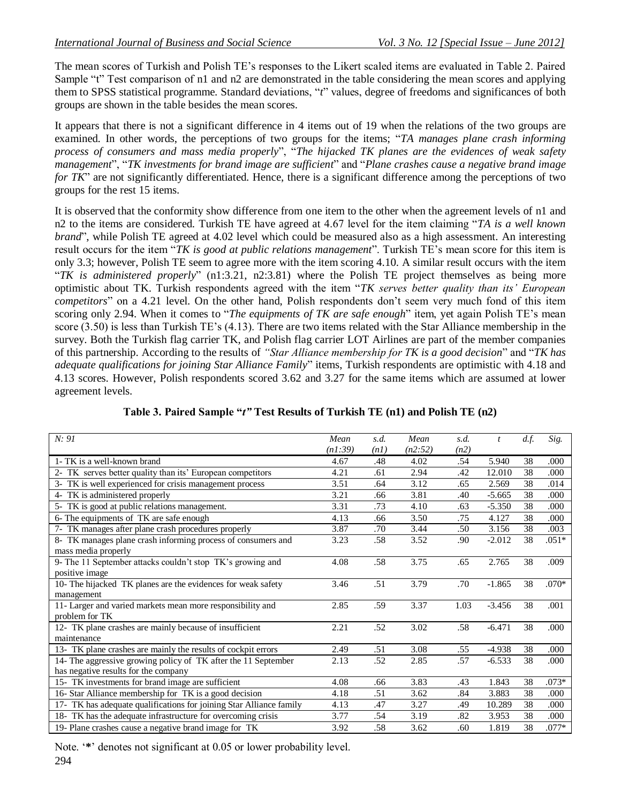The mean scores of Turkish and Polish TE's responses to the Likert scaled items are evaluated in Table 2. Paired Sample "t" Test comparison of n1 and n2 are demonstrated in the table considering the mean scores and applying them to SPSS statistical programme. Standard deviations, "*t*" values, degree of freedoms and significances of both groups are shown in the table besides the mean scores.

It appears that there is not a significant difference in 4 items out of 19 when the relations of the two groups are examined. In other words, the perceptions of two groups for the items; "TA manages plane crash informing process of consumers and mass media properly", "The hijacked TK planes are the evidences of weak safety *management*", "TK *investments for brand image are sufficient*" and "*Plane crashes cause a negative brand image for TK*" are not significantly differentiated. Hence, there is a significant difference among the perceptions of two groups for the rest 15 items.

It is observed that the conformity show difference from one item to the other when the agreement levels of n1 and n2 to the items are considered. Turkish TE have agreed at 4.67 level for the item claiming "TA is a well known *brand*", while Polish TE agreed at 4.02 level which could be measured also as a high assessment. An interesting result occurs for the item "TK is good at public relations management". Turkish TE's mean score for this item is only 3.3; however, Polish TE seem to agree more with the item scoring 4.10. A similar result occurs with the item "*TK* is *administered properly*" (n1:3.21, n2:3.81) where the Polish TE project themselves as being more optimistic about TK. Turkish respondents agreed with the item "TK serves better quality than its' European *competitors*" on a 4.21 level. On the other hand, Polish respondents don't seem very much fond of this item scoring only 2.94. When it comes to "*The equipments of TK are safe enough*" item, yet again Polish TE's mean score (3.50) is less than Turkish TE's (4.13). There are two items related with the Star Alliance membership in the survey. Both the Turkish flag carrier TK, and Polish flag carrier LOT Airlines are part of the member companies of this partnership. According to the results of *"Star Alliance membership for TK is a good decision*" and "TK has *adequate qualifications for joining Star Alliance Family*" items, Turkish respondents are optimistic with 4.18 and 4.13 scores. However, Polish respondents scored 3.62 and 3.27 for the same items which are assumed at lower agreement levels.

| N: 91                                                               | Mean    | s.d. | Mean    | s.d. | $\mathbf{t}$ | d.f. | Sig.    |
|---------------------------------------------------------------------|---------|------|---------|------|--------------|------|---------|
|                                                                     | (n1:39) | (n1) | (n2:52) | (n2) |              |      |         |
| 1- TK is a well-known brand                                         | 4.67    | .48  | 4.02    | .54  | 5.940        | 38   | .000    |
| TK serves better quality than its' European competitors<br>$2 -$    | 4.21    | .61  | 2.94    | .42  | 12.010       | 38   | .000    |
| 3- TK is well experienced for crisis management process             | 3.51    | .64  | 3.12    | .65  | 2.569        | 38   | .014    |
| 4- TK is administered properly                                      | 3.21    | .66  | 3.81    | .40  | $-5.665$     | 38   | .000    |
| 5- TK is good at public relations management.                       | 3.31    | .73  | 4.10    | .63  | $-5.350$     | 38   | .000    |
| 6- The equipments of TK are safe enough                             | 4.13    | .66  | 3.50    | .75  | 4.127        | 38   | .000    |
| 7- TK manages after plane crash procedures properly                 | 3.87    | .70  | 3.44    | .50  | 3.156        | 38   | .003    |
| 8- TK manages plane crash informing process of consumers and        | 3.23    | .58  | 3.52    | .90  | $-2.012$     | 38   | $.051*$ |
| mass media properly                                                 |         |      |         |      |              |      |         |
| 9- The 11 September attacks couldn't stop TK's growing and          | 4.08    | .58  | 3.75    | .65  | 2.765        | 38   | .009    |
| positive image                                                      |         |      |         |      |              |      |         |
| 10- The hijacked TK planes are the evidences for weak safety        | 3.46    | .51  | 3.79    | .70  | $-1.865$     | 38   | $.070*$ |
| management                                                          |         |      |         |      |              |      |         |
| 11- Larger and varied markets mean more responsibility and          | 2.85    | .59  | 3.37    | 1.03 | $-3.456$     | 38   | .001    |
| problem for TK                                                      |         |      |         |      |              |      |         |
| 12- TK plane crashes are mainly because of insufficient             | 2.21    | .52  | 3.02    | .58  | $-6.471$     | 38   | .000    |
| maintenance                                                         |         |      |         |      |              |      |         |
| 13- TK plane crashes are mainly the results of cockpit errors       | 2.49    | .51  | 3.08    | .55  | $-4.938$     | 38   | .000    |
| 14- The aggressive growing policy of TK after the 11 September      | 2.13    | .52  | 2.85    | .57  | $-6.533$     | 38   | .000    |
| has negative results for the company                                |         |      |         |      |              |      |         |
| 15- TK investments for brand image are sufficient                   | 4.08    | .66  | 3.83    | .43  | 1.843        | 38   | $.073*$ |
| 16- Star Alliance membership for TK is a good decision              | 4.18    | .51  | 3.62    | .84  | 3.883        | 38   | .000    |
| 17- TK has adequate qualifications for joining Star Alliance family | 4.13    | .47  | 3.27    | .49  | 10.289       | 38   | .000    |
| 18- TK has the adequate infrastructure for overcoming crisis        | 3.77    | .54  | 3.19    | .82  | 3.953        | 38   | .000    |
| 19- Plane crashes cause a negative brand image for TK               | 3.92    | .58  | 3.62    | .60  | 1.819        | 38   | $.077*$ |

**Table 3. Paired Sample "***t"* **Test Results of Turkish TE (n1) and Polish TE (n2)**

294 Note. '\*' denotes not significant at 0.05 or lower probability level.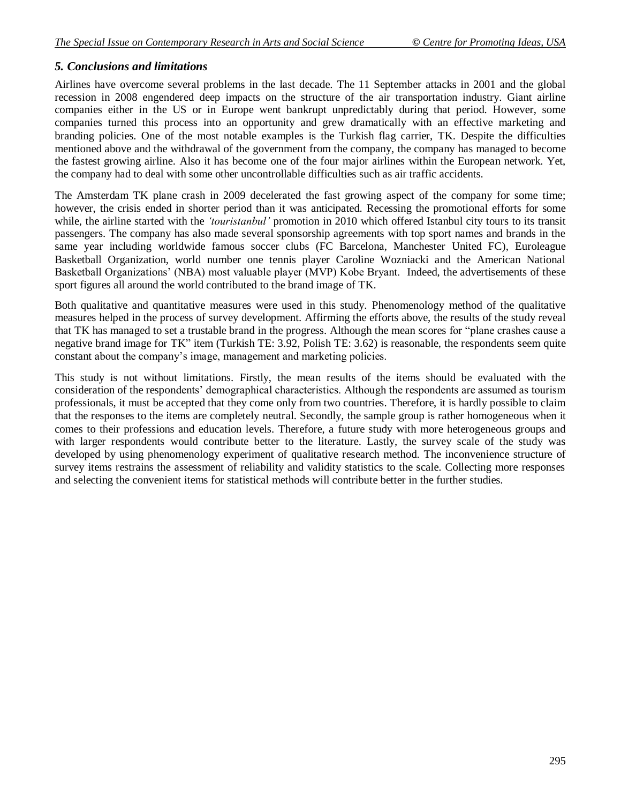## *5. Conclusions and limitations*

Airlines have overcome several problems in the last decade. The 11 September attacks in 2001 and the global recession in 2008 engendered deep impacts on the structure of the air transportation industry. Giant airline companies either in the US or in Europe went bankrupt unpredictably during that period. However, some companies turned this process into an opportunity and grew dramatically with an effective marketing and branding policies. One of the most notable examples is the Turkish flag carrier, TK. Despite the difficulties mentioned above and the withdrawal of the government from the company, the company has managed to become the fastest growing airline. Also it has become one of the four major airlines within the European network. Yet, the company had to deal with some other uncontrollable difficulties such as air traffic accidents.

The Amsterdam TK plane crash in 2009 decelerated the fast growing aspect of the company for some time; however, the crisis ended in shorter period than it was anticipated. Recessing the promotional efforts for some while, the airline started with the *'touristanbul'* promotion in 2010 which offered Istanbul city tours to its transit passengers. The company has also made several sponsorship agreements with top sport names and brands in the same year including worldwide famous soccer clubs (FC Barcelona, Manchester United FC), Euroleague Basketball Organization, world number one tennis player Caroline Wozniacki and the American National Basketball Organizations' (NBA) most valuable player (MVP) Kobe Bryant. Indeed, the advertisements of these sport figures all around the world contributed to the brand image of TK.

Both qualitative and quantitative measures were used in this study. Phenomenology method of the qualitative measures helped in the process of survey development. Affirming the efforts above, the results of the study reveal that TK has managed to set a trustable brand in the progress. Although the mean scores for "plane crashes cause a negative brand image for TK" item (Turkish TE: 3.92, Polish TE: 3.62) is reasonable, the respondents seem quite constant about the company's image, management and marketing policies.

This study is not without limitations. Firstly, the mean results of the items should be evaluated with the consideration of the respondents' demographical characteristics. Although the respondents are assumed as tourism professionals, it must be accepted that they come only from two countries. Therefore, it is hardly possible to claim that the responses to the items are completely neutral. Secondly, the sample group is rather homogeneous when it comes to their professions and education levels. Therefore, a future study with more heterogeneous groups and with larger respondents would contribute better to the literature. Lastly, the survey scale of the study was developed by using phenomenology experiment of qualitative research method. The inconvenience structure of survey items restrains the assessment of reliability and validity statistics to the scale. Collecting more responses and selecting the convenient items for statistical methods will contribute better in the further studies.